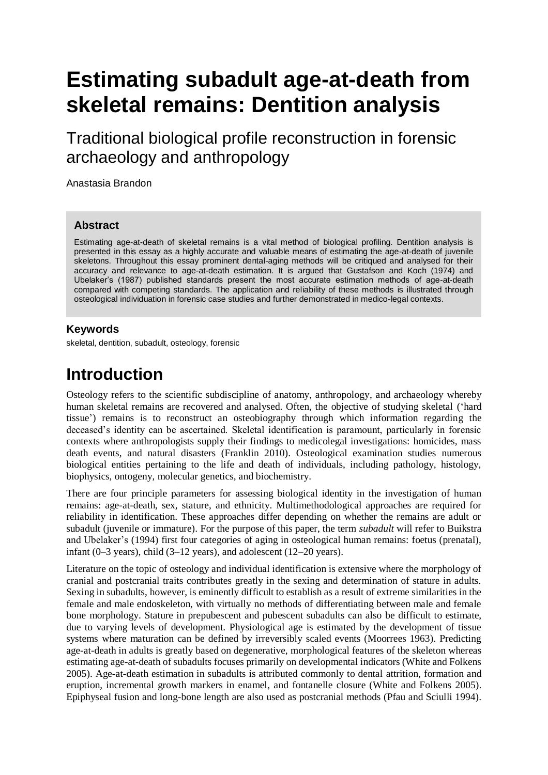# **Estimating subadult age-at-death from skeletal remains: Dentition analysis**

Traditional biological profile reconstruction in forensic archaeology and anthropology

Anastasia Brandon

#### **Abstract**

Estimating age-at-death of skeletal remains is a vital method of biological profiling. Dentition analysis is presented in this essay as a highly accurate and valuable means of estimating the age-at-death of juvenile skeletons. Throughout this essay prominent dental-aging methods will be critiqued and analysed for their accuracy and relevance to age-at-death estimation. It is argued that Gustafson and Koch (1974) and Ubelaker's (1987) published standards present the most accurate estimation methods of age-at-death compared with competing standards. The application and reliability of these methods is illustrated through osteological individuation in forensic case studies and further demonstrated in medico-legal contexts.

#### **Keywords**

skeletal, dentition, subadult, osteology, forensic

#### **Introduction**

Osteology refers to the scientific subdiscipline of anatomy, anthropology, and archaeology whereby human skeletal remains are recovered and analysed. Often, the objective of studying skeletal ('hard tissue') remains is to reconstruct an osteobiography through which information regarding the deceased's identity can be ascertained. Skeletal identification is paramount, particularly in forensic contexts where anthropologists supply their findings to medicolegal investigations: homicides, mass death events, and natural disasters (Franklin 2010). Osteological examination studies numerous biological entities pertaining to the life and death of individuals, including pathology, histology, biophysics, ontogeny, molecular genetics, and biochemistry.

There are four principle parameters for assessing biological identity in the investigation of human remains: age-at-death, sex, stature, and ethnicity. Multimethodological approaches are required for reliability in identification. These approaches differ depending on whether the remains are adult or subadult (juvenile or immature). For the purpose of this paper, the term *subadult* will refer to Buikstra and Ubelaker's (1994) first four categories of aging in osteological human remains: foetus (prenatal), infant (0–3 years), child (3–12 years), and adolescent (12–20 years).

Literature on the topic of osteology and individual identification is extensive where the morphology of cranial and postcranial traits contributes greatly in the sexing and determination of stature in adults. Sexing in subadults, however, is eminently difficult to establish as a result of extreme similarities in the female and male endoskeleton, with virtually no methods of differentiating between male and female bone morphology. Stature in prepubescent and pubescent subadults can also be difficult to estimate, due to varying levels of development. Physiological age is estimated by the development of tissue systems where maturation can be defined by irreversibly scaled events (Moorrees 1963). Predicting age-at-death in adults is greatly based on degenerative, morphological features of the skeleton whereas estimating age-at-death of subadults focuses primarily on developmental indicators (White and Folkens 2005). Age-at-death estimation in subadults is attributed commonly to dental attrition, formation and eruption, incremental growth markers in enamel, and fontanelle closure (White and Folkens 2005). Epiphyseal fusion and long-bone length are also used as postcranial methods (Pfau and Sciulli 1994).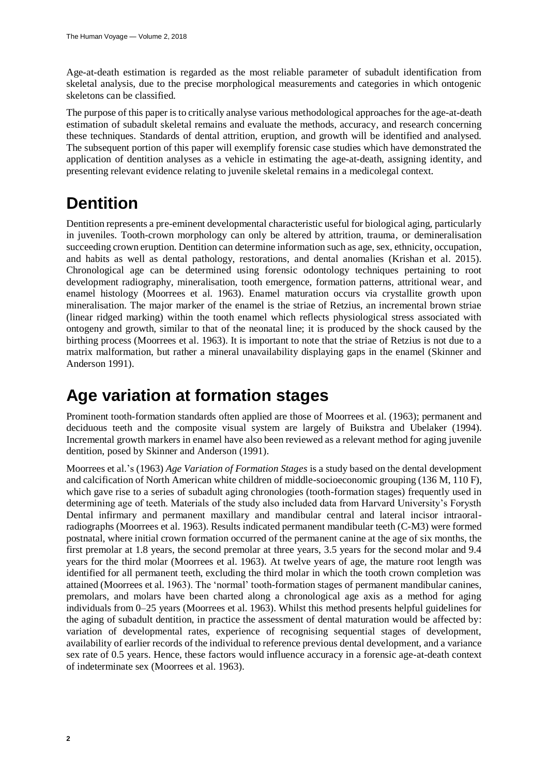Age-at-death estimation is regarded as the most reliable parameter of subadult identification from skeletal analysis, due to the precise morphological measurements and categories in which ontogenic skeletons can be classified.

The purpose of this paper is to critically analyse various methodological approaches for the age-at-death estimation of subadult skeletal remains and evaluate the methods, accuracy, and research concerning these techniques. Standards of dental attrition, eruption, and growth will be identified and analysed. The subsequent portion of this paper will exemplify forensic case studies which have demonstrated the application of dentition analyses as a vehicle in estimating the age-at-death, assigning identity, and presenting relevant evidence relating to juvenile skeletal remains in a medicolegal context.

#### **Dentition**

Dentition represents a pre-eminent developmental characteristic useful for biological aging, particularly in juveniles. Tooth-crown morphology can only be altered by attrition, trauma, or demineralisation succeeding crown eruption. Dentition can determine information such as age, sex, ethnicity, occupation, and habits as well as dental pathology, restorations, and dental anomalies (Krishan et al. 2015). Chronological age can be determined using forensic odontology techniques pertaining to root development radiography, mineralisation, tooth emergence, formation patterns, attritional wear, and enamel histology (Moorrees et al. 1963). Enamel maturation occurs via crystallite growth upon mineralisation. The major marker of the enamel is the striae of Retzius, an incremental brown striae (linear ridged marking) within the tooth enamel which reflects physiological stress associated with ontogeny and growth, similar to that of the neonatal line; it is produced by the shock caused by the birthing process (Moorrees et al. 1963). It is important to note that the striae of Retzius is not due to a matrix malformation, but rather a mineral unavailability displaying gaps in the enamel (Skinner and Anderson 1991).

## **Age variation at formation stages**

Prominent tooth-formation standards often applied are those of Moorrees et al. (1963); permanent and deciduous teeth and the composite visual system are largely of Buikstra and Ubelaker (1994). Incremental growth markers in enamel have also been reviewed as a relevant method for aging juvenile dentition, posed by Skinner and Anderson (1991).

Moorrees et al.'s (1963) *Age Variation of Formation Stages* is a study based on the dental development and calcification of North American white children of middle-socioeconomic grouping (136 M, 110 F), which gave rise to a series of subadult aging chronologies (tooth-formation stages) frequently used in determining age of teeth. Materials of the study also included data from Harvard University's Forysth Dental infirmary and permanent maxillary and mandibular central and lateral incisor intraoralradiographs (Moorrees et al. 1963). Results indicated permanent mandibular teeth (C-M3) were formed postnatal, where initial crown formation occurred of the permanent canine at the age of six months, the first premolar at 1.8 years, the second premolar at three years, 3.5 years for the second molar and 9.4 years for the third molar (Moorrees et al. 1963). At twelve years of age, the mature root length was identified for all permanent teeth, excluding the third molar in which the tooth crown completion was attained (Moorrees et al. 1963). The 'normal' tooth-formation stages of permanent mandibular canines, premolars, and molars have been charted along a chronological age axis as a method for aging individuals from 0–25 years (Moorrees et al. 1963). Whilst this method presents helpful guidelines for the aging of subadult dentition, in practice the assessment of dental maturation would be affected by: variation of developmental rates, experience of recognising sequential stages of development, availability of earlier records of the individual to reference previous dental development, and a variance sex rate of 0.5 years. Hence, these factors would influence accuracy in a forensic age-at-death context of indeterminate sex (Moorrees et al. 1963).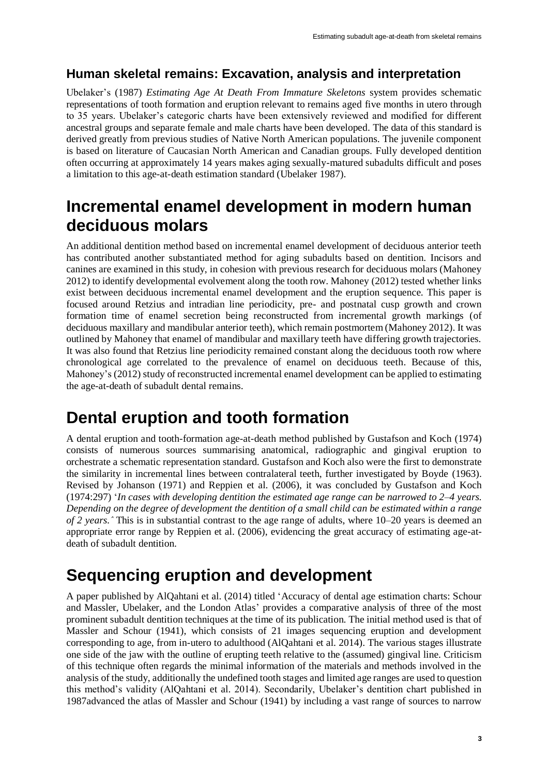#### **Human skeletal remains: Excavation, analysis and interpretation**

Ubelaker's (1987) *Estimating Age At Death From Immature Skeletons* system provides schematic representations of tooth formation and eruption relevant to remains aged five months in utero through to 35 years. Ubelaker's categoric charts have been extensively reviewed and modified for different ancestral groups and separate female and male charts have been developed. The data of this standard is derived greatly from previous studies of Native North American populations. The juvenile component is based on literature of Caucasian North American and Canadian groups. Fully developed dentition often occurring at approximately 14 years makes aging sexually-matured subadults difficult and poses a limitation to this age-at-death estimation standard (Ubelaker 1987).

#### **Incremental enamel development in modern human deciduous molars**

An additional dentition method based on incremental enamel development of deciduous anterior teeth has contributed another substantiated method for aging subadults based on dentition. Incisors and canines are examined in this study, in cohesion with previous research for deciduous molars (Mahoney 2012) to identify developmental evolvement along the tooth row. Mahoney (2012) tested whether links exist between deciduous incremental enamel development and the eruption sequence. This paper is focused around Retzius and intradian line periodicity, pre- and postnatal cusp growth and crown formation time of enamel secretion being reconstructed from incremental growth markings (of deciduous maxillary and mandibular anterior teeth), which remain postmortem (Mahoney 2012). It was outlined by Mahoney that enamel of mandibular and maxillary teeth have differing growth trajectories. It was also found that Retzius line periodicity remained constant along the deciduous tooth row where chronological age correlated to the prevalence of enamel on deciduous teeth. Because of this, Mahoney's (2012) study of reconstructed incremental enamel development can be applied to estimating the age-at-death of subadult dental remains.

#### **Dental eruption and tooth formation**

A dental eruption and tooth-formation age-at-death method published by Gustafson and Koch (1974) consists of numerous sources summarising anatomical, radiographic and gingival eruption to orchestrate a schematic representation standard. Gustafson and Koch also were the first to demonstrate the similarity in incremental lines between contralateral teeth, further investigated by Boyde (1963). Revised by Johanson (1971) and Reppien et al. (2006), it was concluded by Gustafson and Koch (1974:297) '*In cases with developing dentition the estimated age range can be narrowed to 2–4 years. Depending on the degree of development the dentition of a small child can be estimated within a range of 2 years.ˆ* This is in substantial contrast to the age range of adults, where 10*–*20 years is deemed an appropriate error range by Reppien et al. (2006), evidencing the great accuracy of estimating age-atdeath of subadult dentition.

## **Sequencing eruption and development**

A paper published by AlQahtani et al. (2014) titled 'Accuracy of dental age estimation charts: Schour and Massler, Ubelaker, and the London Atlas' provides a comparative analysis of three of the most prominent subadult dentition techniques at the time of its publication. The initial method used is that of Massler and Schour (1941), which consists of 21 images sequencing eruption and development corresponding to age, from in-utero to adulthood (AlQahtani et al. 2014). The various stages illustrate one side of the jaw with the outline of erupting teeth relative to the (assumed) gingival line. Criticism of this technique often regards the minimal information of the materials and methods involved in the analysis of the study, additionally the undefined tooth stages and limited age ranges are used to question this method's validity (AlQahtani et al. 2014). Secondarily, Ubelaker's dentition chart published in 1987advanced the atlas of Massler and Schour (1941) by including a vast range of sources to narrow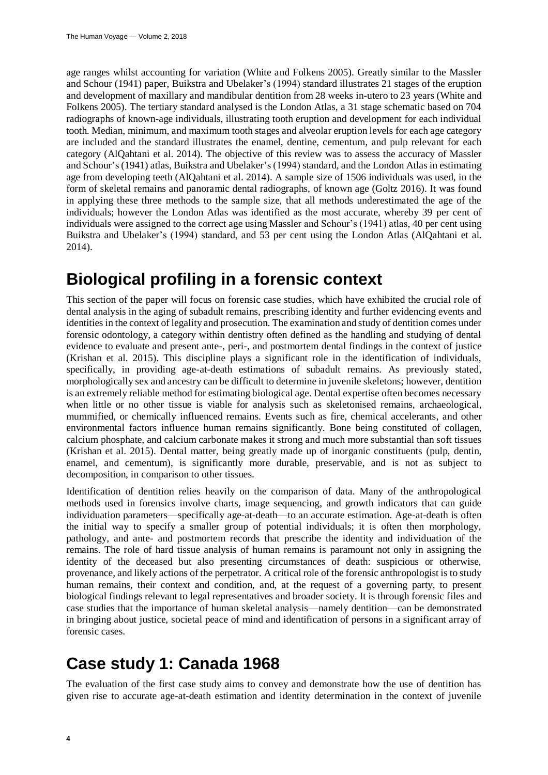age ranges whilst accounting for variation (White and Folkens 2005). Greatly similar to the Massler and Schour (1941) paper, Buikstra and Ubelaker's (1994) standard illustrates 21 stages of the eruption and development of maxillary and mandibular dentition from 28 weeks in-utero to 23 years (White and Folkens 2005). The tertiary standard analysed is the London Atlas, a 31 stage schematic based on 704 radiographs of known-age individuals, illustrating tooth eruption and development for each individual tooth. Median, minimum, and maximum tooth stages and alveolar eruption levels for each age category are included and the standard illustrates the enamel, dentine, cementum, and pulp relevant for each category (AlQahtani et al. 2014). The objective of this review was to assess the accuracy of Massler and Schour's (1941) atlas, Buikstra and Ubelaker's (1994) standard, and the London Atlas in estimating age from developing teeth (AlQahtani et al. 2014). A sample size of 1506 individuals was used, in the form of skeletal remains and panoramic dental radiographs, of known age (Goltz 2016). It was found in applying these three methods to the sample size, that all methods underestimated the age of the individuals; however the London Atlas was identified as the most accurate, whereby 39 per cent of individuals were assigned to the correct age using Massler and Schour's (1941) atlas, 40 per cent using Buikstra and Ubelaker's (1994) standard, and 53 per cent using the London Atlas (AlQahtani et al. 2014).

#### **Biological profiling in a forensic context**

This section of the paper will focus on forensic case studies, which have exhibited the crucial role of dental analysis in the aging of subadult remains, prescribing identity and further evidencing events and identities in the context of legality and prosecution. The examination and study of dentition comes under forensic odontology, a category within dentistry often defined as the handling and studying of dental evidence to evaluate and present ante-, peri-, and postmortem dental findings in the context of justice (Krishan et al. 2015). This discipline plays a significant role in the identification of individuals, specifically, in providing age-at-death estimations of subadult remains. As previously stated, morphologically sex and ancestry can be difficult to determine in juvenile skeletons; however, dentition is an extremely reliable method for estimating biological age. Dental expertise often becomes necessary when little or no other tissue is viable for analysis such as skeletonised remains, archaeological, mummified, or chemically influenced remains. Events such as fire, chemical accelerants, and other environmental factors influence human remains significantly. Bone being constituted of collagen, calcium phosphate, and calcium carbonate makes it strong and much more substantial than soft tissues (Krishan et al. 2015). Dental matter, being greatly made up of inorganic constituents (pulp, dentin, enamel, and cementum), is significantly more durable, preservable, and is not as subject to decomposition, in comparison to other tissues.

Identification of dentition relies heavily on the comparison of data. Many of the anthropological methods used in forensics involve charts, image sequencing, and growth indicators that can guide individuation parameters—specifically age-at-death—to an accurate estimation. Age-at-death is often the initial way to specify a smaller group of potential individuals; it is often then morphology, pathology, and ante- and postmortem records that prescribe the identity and individuation of the remains. The role of hard tissue analysis of human remains is paramount not only in assigning the identity of the deceased but also presenting circumstances of death: suspicious or otherwise, provenance, and likely actions of the perpetrator. A critical role of the forensic anthropologist is to study human remains, their context and condition, and, at the request of a governing party, to present biological findings relevant to legal representatives and broader society. It is through forensic files and case studies that the importance of human skeletal analysis—namely dentition—can be demonstrated in bringing about justice, societal peace of mind and identification of persons in a significant array of forensic cases.

## **Case study 1: Canada 1968**

The evaluation of the first case study aims to convey and demonstrate how the use of dentition has given rise to accurate age-at-death estimation and identity determination in the context of juvenile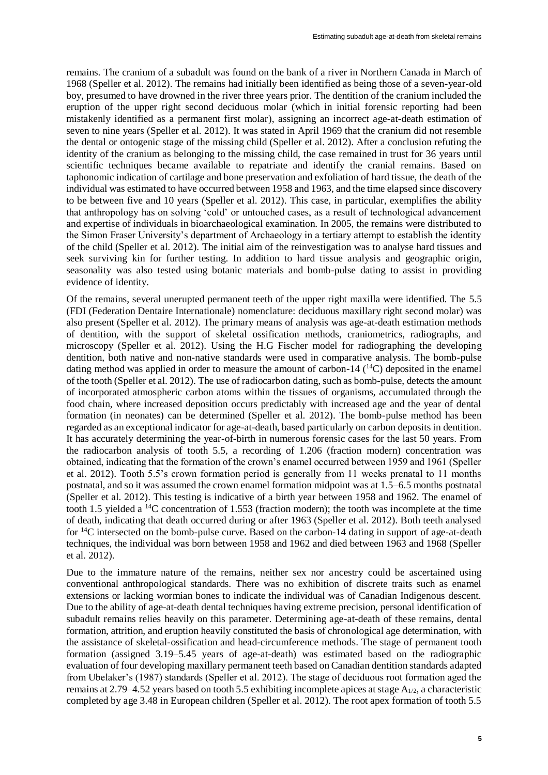remains. The cranium of a subadult was found on the bank of a river in Northern Canada in March of 1968 (Speller et al. 2012). The remains had initially been identified as being those of a seven-year-old boy, presumed to have drowned in the river three years prior. The dentition of the cranium included the eruption of the upper right second deciduous molar (which in initial forensic reporting had been mistakenly identified as a permanent first molar), assigning an incorrect age-at-death estimation of seven to nine years (Speller et al. 2012). It was stated in April 1969 that the cranium did not resemble the dental or ontogenic stage of the missing child (Speller et al. 2012). After a conclusion refuting the identity of the cranium as belonging to the missing child, the case remained in trust for 36 years until scientific techniques became available to repatriate and identify the cranial remains. Based on taphonomic indication of cartilage and bone preservation and exfoliation of hard tissue, the death of the individual was estimated to have occurred between 1958 and 1963, and the time elapsed since discovery to be between five and 10 years (Speller et al. 2012). This case, in particular, exemplifies the ability that anthropology has on solving 'cold' or untouched cases, as a result of technological advancement and expertise of individuals in bioarchaeological examination. In 2005, the remains were distributed to the Simon Fraser University's department of Archaeology in a tertiary attempt to establish the identity of the child (Speller et al. 2012). The initial aim of the reinvestigation was to analyse hard tissues and seek surviving kin for further testing. In addition to hard tissue analysis and geographic origin, seasonality was also tested using botanic materials and bomb-pulse dating to assist in providing evidence of identity.

Of the remains, several unerupted permanent teeth of the upper right maxilla were identified. The 5.5 (FDI (Federation Dentaire Internationale) nomenclature: deciduous maxillary right second molar) was also present (Speller et al. 2012). The primary means of analysis was age-at-death estimation methods of dentition, with the support of skeletal ossification methods, craniometrics, radiographs, and microscopy (Speller et al. 2012). Using the H.G Fischer model for radiographing the developing dentition, both native and non-native standards were used in comparative analysis. The bomb-pulse dating method was applied in order to measure the amount of carbon-14  $(^{14}C)$  deposited in the enamel of the tooth (Speller et al. 2012). The use of radiocarbon dating, such as bomb-pulse, detects the amount of incorporated atmospheric carbon atoms within the tissues of organisms, accumulated through the food chain, where increased deposition occurs predictably with increased age and the year of dental formation (in neonates) can be determined (Speller et al. 2012). The bomb-pulse method has been regarded as an exceptional indicator for age-at-death, based particularly on carbon deposits in dentition. It has accurately determining the year-of-birth in numerous forensic cases for the last 50 years. From the radiocarbon analysis of tooth 5.5, a recording of 1.206 (fraction modern) concentration was obtained, indicating that the formation of the crown's enamel occurred between 1959 and 1961 (Speller et al. 2012). Tooth 5.5's crown formation period is generally from 11 weeks prenatal to 11 months postnatal, and so it was assumed the crown enamel formation midpoint was at 1.5–6.5 months postnatal (Speller et al. 2012). This testing is indicative of a birth year between 1958 and 1962. The enamel of tooth 1.5 yielded a <sup>14</sup>C concentration of 1.553 (fraction modern); the tooth was incomplete at the time of death, indicating that death occurred during or after 1963 (Speller et al. 2012). Both teeth analysed for <sup>14</sup>C intersected on the bomb-pulse curve. Based on the carbon-14 dating in support of age-at-death techniques, the individual was born between 1958 and 1962 and died between 1963 and 1968 (Speller et al. 2012).

Due to the immature nature of the remains, neither sex nor ancestry could be ascertained using conventional anthropological standards. There was no exhibition of discrete traits such as enamel extensions or lacking wormian bones to indicate the individual was of Canadian Indigenous descent. Due to the ability of age-at-death dental techniques having extreme precision, personal identification of subadult remains relies heavily on this parameter. Determining age-at-death of these remains, dental formation, attrition, and eruption heavily constituted the basis of chronological age determination, with the assistance of skeletal-ossification and head-circumference methods. The stage of permanent tooth formation (assigned 3.19–5.45 years of age-at-death) was estimated based on the radiographic evaluation of four developing maxillary permanent teeth based on Canadian dentition standards adapted from Ubelaker's (1987) standards (Speller et al. 2012). The stage of deciduous root formation aged the remains at 2.79–4.52 years based on tooth 5.5 exhibiting incomplete apices at stage  $A_{1/2}$ , a characteristic completed by age 3.48 in European children (Speller et al. 2012). The root apex formation of tooth 5.5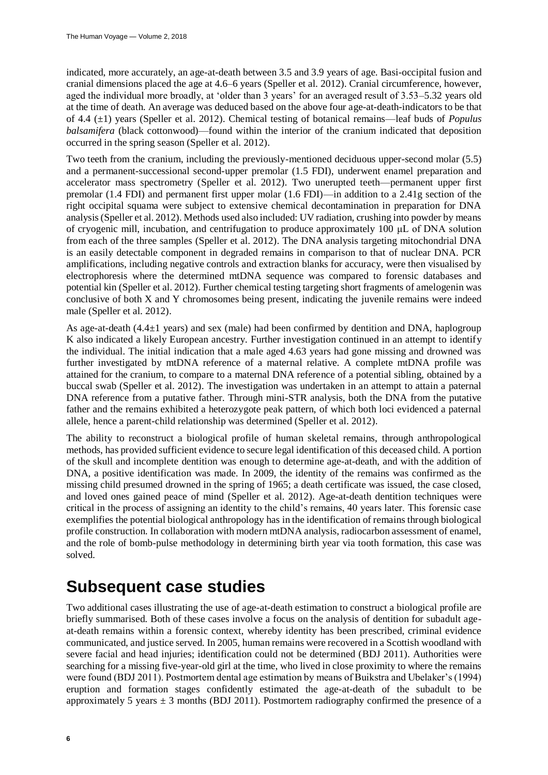indicated, more accurately, an age-at-death between 3.5 and 3.9 years of age. Basi-occipital fusion and cranial dimensions placed the age at 4.6–6 years (Speller et al. 2012). Cranial circumference, however, aged the individual more broadly, at 'older than 3 years' for an averaged result of 3.53–5.32 years old at the time of death. An average was deduced based on the above four age-at-death-indicators to be that of 4.4 (±1) years (Speller et al. 2012). Chemical testing of botanical remains—leaf buds of *Populus balsamifera* (black cottonwood)—found within the interior of the cranium indicated that deposition occurred in the spring season (Speller et al. 2012).

Two teeth from the cranium, including the previously-mentioned deciduous upper-second molar (5.5) and a permanent-successional second-upper premolar (1.5 FDI), underwent enamel preparation and accelerator mass spectrometry (Speller et al. 2012). Two unerupted teeth—permanent upper first premolar (1.4 FDI) and permanent first upper molar (1.6 FDI)—in addition to a 2.41g section of the right occipital squama were subject to extensive chemical decontamination in preparation for DNA analysis (Speller et al. 2012). Methods used also included: UV radiation, crushing into powder by means of cryogenic mill, incubation, and centrifugation to produce approximately 100 μL of DNA solution from each of the three samples (Speller et al. 2012). The DNA analysis targeting mitochondrial DNA is an easily detectable component in degraded remains in comparison to that of nuclear DNA. PCR amplifications, including negative controls and extraction blanks for accuracy, were then visualised by electrophoresis where the determined mtDNA sequence was compared to forensic databases and potential kin (Speller et al. 2012). Further chemical testing targeting short fragments of amelogenin was conclusive of both X and Y chromosomes being present, indicating the juvenile remains were indeed male (Speller et al. 2012).

As age-at-death  $(4.4\pm1$  years) and sex (male) had been confirmed by dentition and DNA, haplogroup K also indicated a likely European ancestry. Further investigation continued in an attempt to identify the individual. The initial indication that a male aged 4.63 years had gone missing and drowned was further investigated by mtDNA reference of a maternal relative. A complete mtDNA profile was attained for the cranium, to compare to a maternal DNA reference of a potential sibling, obtained by a buccal swab (Speller et al. 2012). The investigation was undertaken in an attempt to attain a paternal DNA reference from a putative father. Through mini-STR analysis, both the DNA from the putative father and the remains exhibited a heterozygote peak pattern, of which both loci evidenced a paternal allele, hence a parent-child relationship was determined (Speller et al. 2012).

The ability to reconstruct a biological profile of human skeletal remains, through anthropological methods, has provided sufficient evidence to secure legal identification of this deceased child. A portion of the skull and incomplete dentition was enough to determine age-at-death, and with the addition of DNA, a positive identification was made. In 2009, the identity of the remains was confirmed as the missing child presumed drowned in the spring of 1965; a death certificate was issued, the case closed, and loved ones gained peace of mind (Speller et al. 2012). Age-at-death dentition techniques were critical in the process of assigning an identity to the child's remains, 40 years later. This forensic case exemplifies the potential biological anthropology has in the identification of remains through biological profile construction. In collaboration with modern mtDNA analysis, radiocarbon assessment of enamel, and the role of bomb-pulse methodology in determining birth year via tooth formation, this case was solved.

#### **Subsequent case studies**

Two additional cases illustrating the use of age-at-death estimation to construct a biological profile are briefly summarised. Both of these cases involve a focus on the analysis of dentition for subadult ageat-death remains within a forensic context, whereby identity has been prescribed, criminal evidence communicated, and justice served. In 2005, human remains were recovered in a Scottish woodland with severe facial and head injuries; identification could not be determined (BDJ 2011). Authorities were searching for a missing five-year-old girl at the time, who lived in close proximity to where the remains were found (BDJ 2011). Postmortem dental age estimation by means of Buikstra and Ubelaker's (1994) eruption and formation stages confidently estimated the age-at-death of the subadult to be approximately 5 years  $\pm$  3 months (BDJ 2011). Postmortem radiography confirmed the presence of a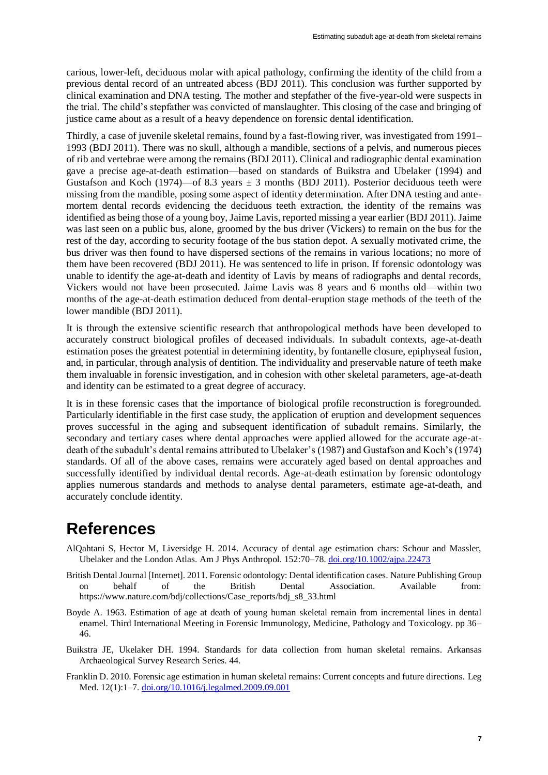carious, lower-left, deciduous molar with apical pathology, confirming the identity of the child from a previous dental record of an untreated abcess (BDJ 2011). This conclusion was further supported by clinical examination and DNA testing. The mother and stepfather of the five-year-old were suspects in the trial. The child's stepfather was convicted of manslaughter. This closing of the case and bringing of justice came about as a result of a heavy dependence on forensic dental identification.

Thirdly, a case of juvenile skeletal remains, found by a fast-flowing river, was investigated from 1991– 1993 (BDJ 2011). There was no skull, although a mandible, sections of a pelvis, and numerous pieces of rib and vertebrae were among the remains (BDJ 2011). Clinical and radiographic dental examination gave a precise age-at-death estimation—based on standards of Buikstra and Ubelaker (1994) and Gustafson and Koch (1974)—of 8.3 years  $\pm$  3 months (BDJ 2011). Posterior deciduous teeth were missing from the mandible, posing some aspect of identity determination. After DNA testing and antemortem dental records evidencing the deciduous teeth extraction, the identity of the remains was identified as being those of a young boy, Jaime Lavis, reported missing a year earlier (BDJ 2011). Jaime was last seen on a public bus, alone, groomed by the bus driver (Vickers) to remain on the bus for the rest of the day, according to security footage of the bus station depot. A sexually motivated crime, the bus driver was then found to have dispersed sections of the remains in various locations; no more of them have been recovered (BDJ 2011). He was sentenced to life in prison. If forensic odontology was unable to identify the age-at-death and identity of Lavis by means of radiographs and dental records, Vickers would not have been prosecuted. Jaime Lavis was 8 years and 6 months old—within two months of the age-at-death estimation deduced from dental-eruption stage methods of the teeth of the lower mandible (BDJ 2011).

It is through the extensive scientific research that anthropological methods have been developed to accurately construct biological profiles of deceased individuals. In subadult contexts, age-at-death estimation poses the greatest potential in determining identity, by fontanelle closure, epiphyseal fusion, and, in particular, through analysis of dentition. The individuality and preservable nature of teeth make them invaluable in forensic investigation, and in cohesion with other skeletal parameters, age-at-death and identity can be estimated to a great degree of accuracy.

It is in these forensic cases that the importance of biological profile reconstruction is foregrounded. Particularly identifiable in the first case study, the application of eruption and development sequences proves successful in the aging and subsequent identification of subadult remains. Similarly, the secondary and tertiary cases where dental approaches were applied allowed for the accurate age-atdeath of the subadult's dental remains attributed to Ubelaker's (1987) and Gustafson and Koch's (1974) standards. Of all of the above cases, remains were accurately aged based on dental approaches and successfully identified by individual dental records. Age-at-death estimation by forensic odontology applies numerous standards and methods to analyse dental parameters, estimate age-at-death, and accurately conclude identity.

#### **References**

- AlQahtani S, Hector M, Liversidge H. 2014. Accuracy of dental age estimation chars: Schour and Massler, Ubelaker and the London Atlas. Am J Phys Anthropol. 152:70–78[. doi.org/10.1002/ajpa.22473](https://doi.org/10.1002/ajpa.22473)
- British Dental Journal [Internet]. 2011. Forensic odontology: Dental identification cases. Nature Publishing Group on behalf of the British Dental Association. Available from: https://www.nature.com/bdj/collections/Case\_reports/bdj\_s8\_33.html
- Boyde A. 1963. Estimation of age at death of young human skeletal remain from incremental lines in dental enamel. Third International Meeting in Forensic Immunology, Medicine, Pathology and Toxicology. pp 36– 46.
- Buikstra JE, Ukelaker DH. 1994. Standards for data collection from human skeletal remains. Arkansas Archaeological Survey Research Series. 44.
- Franklin D. 2010. Forensic age estimation in human skeletal remains: Current concepts and future directions. Leg Med. 12(1):1–7. [doi.org/10.1016/j.legalmed.2009.09.001](https://doi.org/10.1016/j.legalmed.2009.09.001)